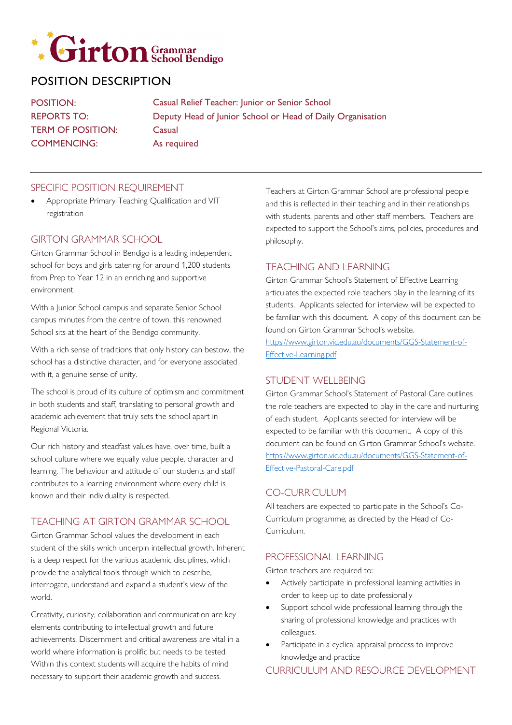

# POSITION DESCRIPTION

POSITION: REPORTS TO: TERM OF POSITION: COMMENCING: Casual Relief Teacher: Junior or Senior School Deputy Head of Junior School or Head of Daily Organisation Casual As required

#### SPECIFIC POSITION REQUIREMENT

• Appropriate Primary Teaching Qualification and VIT registration

#### GIRTON GRAMMAR SCHOOL

Girton Grammar School in Bendigo is a leading independent school for boys and girls catering for around 1,200 students from Prep to Year 12 in an enriching and supportive environment.

With a Junior School campus and separate Senior School campus minutes from the centre of town, this renowned School sits at the heart of the Bendigo community.

With a rich sense of traditions that only history can bestow, the school has a distinctive character, and for everyone associated with it, a genuine sense of unity.

The school is proud of its culture of optimism and commitment in both students and staff, translating to personal growth and academic achievement that truly sets the school apart in Regional Victoria.

Our rich history and steadfast values have, over time, built a school culture where we equally value people, character and learning. The behaviour and attitude of our students and staff contributes to a learning environment where every child is known and their individuality is respected.

## TEACHING AT GIRTON GRAMMAR SCHOOL

Girton Grammar School values the development in each student of the skills which underpin intellectual growth. Inherent is a deep respect for the various academic disciplines, which provide the analytical tools through which to describe, interrogate, understand and expand a student's view of the world.

Creativity, curiosity, collaboration and communication are key elements contributing to intellectual growth and future achievements. Discernment and critical awareness are vital in a world where information is prolific but needs to be tested. Within this context students will acquire the habits of mind necessary to support their academic growth and success.

Teachers at Girton Grammar School are professional people and this is reflected in their teaching and in their relationships with students, parents and other staff members. Teachers are expected to support the School's aims, policies, procedures and philosophy.

#### TEACHING AND LEARNING

Girton Grammar School's Statement of Effective Learning articulates the expected role teachers play in the learning of its students. Applicants selected for interview will be expected to be familiar with this document. A copy of this document can be found on Girton Grammar School's website.

[https://www.girton.vic.edu.au/documents/GGS-Statement-of-](https://www.girton.vic.edu.au/documents/GGS-Statement-of-Effective-Learning.pdf)[Effective-Learning.pdf](https://www.girton.vic.edu.au/documents/GGS-Statement-of-Effective-Learning.pdf)

# STUDENT WELLBEING

Girton Grammar School's Statement of Pastoral Care outlines the role teachers are expected to play in the care and nurturing of each student. Applicants selected for interview will be expected to be familiar with this document. A copy of this document can be found on Girton Grammar School's website. [https://www.girton.vic.edu.au/documents/GGS-Statement-of-](https://www.girton.vic.edu.au/documents/GGS-Statement-of-Effective-Pastoral-Care.pdf)[Effective-Pastoral-Care.pdf](https://www.girton.vic.edu.au/documents/GGS-Statement-of-Effective-Pastoral-Care.pdf)

#### CO-CURRICULUM

All teachers are expected to participate in the School's Co-Curriculum programme, as directed by the Head of Co-Curriculum.

### PROFESSIONAL LEARNING

Girton teachers are required to:

- Actively participate in professional learning activities in order to keep up to date professionally
- Support school wide professional learning through the sharing of professional knowledge and practices with colleagues.
- Participate in a cyclical appraisal process to improve knowledge and practice

CURRICULUM AND RESOURCE DEVELOPMENT